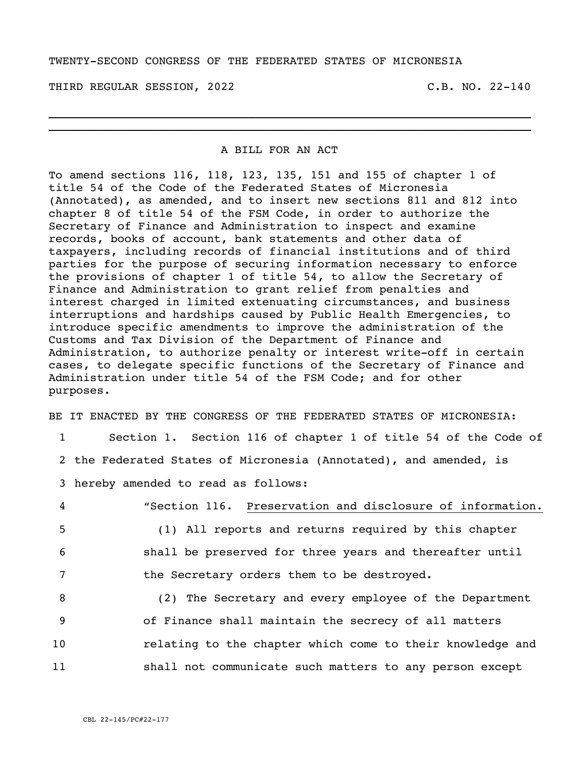## TWENTY-SECOND CONGRESS OF THE FEDERATED STATES OF MICRONESIA

THIRD REGULAR SESSION, 2022 C.B. NO. 22-140

## A BILL FOR AN ACT

\_\_\_\_\_\_\_\_\_\_\_\_\_\_\_\_\_\_\_\_\_\_\_\_\_\_\_\_\_\_\_\_\_\_\_\_\_\_\_\_\_\_\_\_\_\_\_\_\_\_\_\_\_\_\_\_\_\_\_\_\_\_\_\_\_\_\_\_\_\_ \_\_\_\_\_\_\_\_\_\_\_\_\_\_\_\_\_\_\_\_\_\_\_\_\_\_\_\_\_\_\_\_\_\_\_\_\_\_\_\_\_\_\_\_\_\_\_\_\_\_\_\_\_\_\_\_\_\_\_\_\_\_\_\_\_\_\_\_\_\_

To amend sections 116, 118, 123, 135, 151 and 155 of chapter 1 of title 54 of the Code of the Federated States of Micronesia (Annotated), as amended, and to insert new sections 811 and 812 into chapter 8 of title 54 of the FSM Code, in order to authorize the Secretary of Finance and Administration to inspect and examine records, books of account, bank statements and other data of taxpayers, including records of financial institutions and of third parties for the purpose of securing information necessary to enforce the provisions of chapter 1 of title 54, to allow the Secretary of Finance and Administration to grant relief from penalties and interest charged in limited extenuating circumstances, and business interruptions and hardships caused by Public Health Emergencies, to introduce specific amendments to improve the administration of the Customs and Tax Division of the Department of Finance and Administration, to authorize penalty or interest write-off in certain cases, to delegate specific functions of the Secretary of Finance and Administration under title 54 of the FSM Code; and for other purposes.

BE IT ENACTED BY THE CONGRESS OF THE FEDERATED STATES OF MICRONESIA:

| $\mathbf{1}$ | Section 1. Section 116 of chapter 1 of title 54 of the Code of    |  |  |  |  |  |
|--------------|-------------------------------------------------------------------|--|--|--|--|--|
|              | 2 the Federated States of Micronesia (Annotated), and amended, is |  |  |  |  |  |
|              | 3 hereby amended to read as follows:                              |  |  |  |  |  |
| 4            | "Section 116. Preservation and disclosure of information.         |  |  |  |  |  |
| 5            | (1) All reports and returns required by this chapter              |  |  |  |  |  |
| 6            | shall be preserved for three years and thereafter until           |  |  |  |  |  |
| 7            | the Secretary orders them to be destroyed.                        |  |  |  |  |  |
| 8            | (2) The Secretary and every employee of the Department            |  |  |  |  |  |
| 9            | of Finance shall maintain the secrecy of all matters              |  |  |  |  |  |
| 10           | relating to the chapter which come to their knowledge and         |  |  |  |  |  |

11 shall not communicate such matters to any person except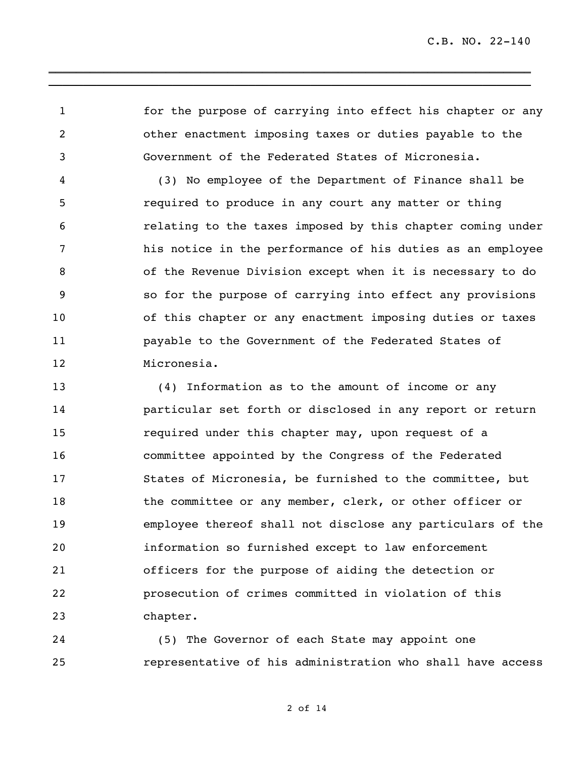for the purpose of carrying into effect his chapter or any other enactment imposing taxes or duties payable to the Government of the Federated States of Micronesia.

\_\_\_\_\_\_\_\_\_\_\_\_\_\_\_\_\_\_\_\_\_\_\_\_\_\_\_\_\_\_\_\_\_\_\_\_\_\_\_\_\_\_\_\_\_\_\_\_\_\_\_\_\_\_\_\_\_\_\_\_\_\_\_\_\_\_\_\_\_\_ \_\_\_\_\_\_\_\_\_\_\_\_\_\_\_\_\_\_\_\_\_\_\_\_\_\_\_\_\_\_\_\_\_\_\_\_\_\_\_\_\_\_\_\_\_\_\_\_\_\_\_\_\_\_\_\_\_\_\_\_\_\_\_\_\_\_\_\_\_\_

 (3) No employee of the Department of Finance shall be required to produce in any court any matter or thing relating to the taxes imposed by this chapter coming under his notice in the performance of his duties as an employee of the Revenue Division except when it is necessary to do so for the purpose of carrying into effect any provisions of this chapter or any enactment imposing duties or taxes payable to the Government of the Federated States of Micronesia.

 (4) Information as to the amount of income or any particular set forth or disclosed in any report or return required under this chapter may, upon request of a committee appointed by the Congress of the Federated States of Micronesia, be furnished to the committee, but 18 the committee or any member, clerk, or other officer or employee thereof shall not disclose any particulars of the information so furnished except to law enforcement officers for the purpose of aiding the detection or prosecution of crimes committed in violation of this chapter.

 (5) The Governor of each State may appoint one representative of his administration who shall have access

of 14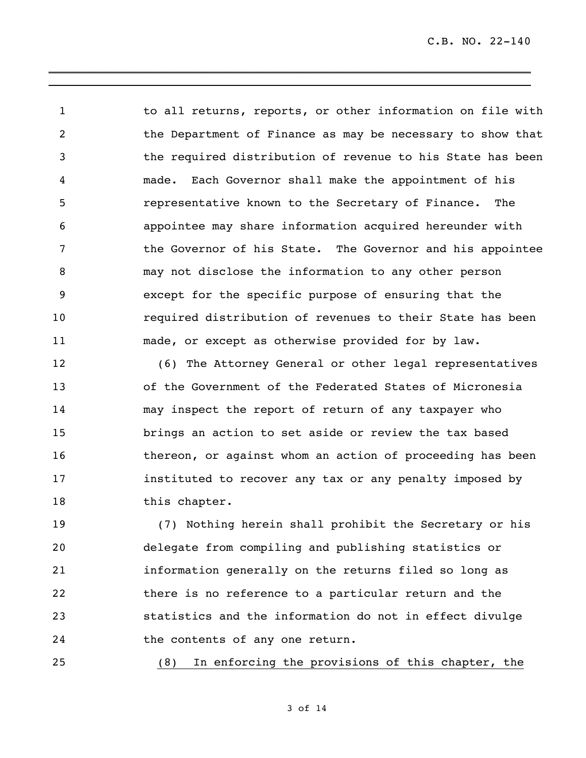1 to all returns, reports, or other information on file with the Department of Finance as may be necessary to show that the required distribution of revenue to his State has been made. Each Governor shall make the appointment of his representative known to the Secretary of Finance. The appointee may share information acquired hereunder with the Governor of his State. The Governor and his appointee may not disclose the information to any other person except for the specific purpose of ensuring that the required distribution of revenues to their State has been made, or except as otherwise provided for by law.

\_\_\_\_\_\_\_\_\_\_\_\_\_\_\_\_\_\_\_\_\_\_\_\_\_\_\_\_\_\_\_\_\_\_\_\_\_\_\_\_\_\_\_\_\_\_\_\_\_\_\_\_\_\_\_\_\_\_\_\_\_\_\_\_\_\_\_\_\_\_ \_\_\_\_\_\_\_\_\_\_\_\_\_\_\_\_\_\_\_\_\_\_\_\_\_\_\_\_\_\_\_\_\_\_\_\_\_\_\_\_\_\_\_\_\_\_\_\_\_\_\_\_\_\_\_\_\_\_\_\_\_\_\_\_\_\_\_\_\_\_

 (6) The Attorney General or other legal representatives of the Government of the Federated States of Micronesia may inspect the report of return of any taxpayer who brings an action to set aside or review the tax based thereon, or against whom an action of proceeding has been instituted to recover any tax or any penalty imposed by 18 this chapter.

 (7) Nothing herein shall prohibit the Secretary or his delegate from compiling and publishing statistics or information generally on the returns filed so long as there is no reference to a particular return and the statistics and the information do not in effect divulge the contents of any one return.

(8) In enforcing the provisions of this chapter, the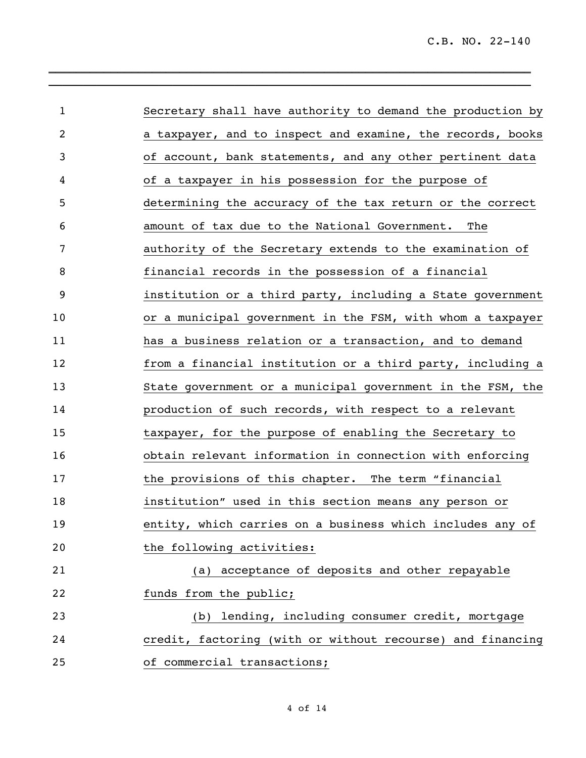| $\mathbf{1}$ | Secretary shall have authority to demand the production by |
|--------------|------------------------------------------------------------|
| 2            | a taxpayer, and to inspect and examine, the records, books |
| 3            | of account, bank statements, and any other pertinent data  |
| 4            | of a taxpayer in his possession for the purpose of         |
| 5            | determining the accuracy of the tax return or the correct  |
| 6            | amount of tax due to the National Government.<br>The       |
| 7            | authority of the Secretary extends to the examination of   |
| 8            | financial records in the possession of a financial         |
| 9            | institution or a third party, including a State government |
| 10           | or a municipal government in the FSM, with whom a taxpayer |
| 11           | has a business relation or a transaction, and to demand    |
| 12           | from a financial institution or a third party, including a |
| 13           | State government or a municipal government in the FSM, the |
| 14           | production of such records, with respect to a relevant     |
| 15           | taxpayer, for the purpose of enabling the Secretary to     |
| 16           | obtain relevant information in connection with enforcing   |
| 17           | the provisions of this chapter. The term "financial        |
| 18           | institution" used in this section means any person or      |
| 19           | entity, which carries on a business which includes any of  |
| 20           | the following activities:                                  |
| 21           | (a) acceptance of deposits and other repayable             |
| 22           | funds from the public;                                     |
| 23           | (b) lending, including consumer credit, mortgage           |
| 24           | credit, factoring (with or without recourse) and financing |
| 25           | of commercial transactions;                                |

 $\_$  ,  $\_$  ,  $\_$  ,  $\_$  ,  $\_$  ,  $\_$  ,  $\_$  ,  $\_$  ,  $\_$  ,  $\_$  ,  $\_$  ,  $\_$  ,  $\_$  ,  $\_$ \_\_\_\_\_\_\_\_\_\_\_\_\_\_\_\_\_\_\_\_\_\_\_\_\_\_\_\_\_\_\_\_\_\_\_\_\_\_\_\_\_\_\_\_\_\_\_\_\_\_\_\_\_\_\_\_\_\_\_\_\_\_\_\_\_\_\_\_\_\_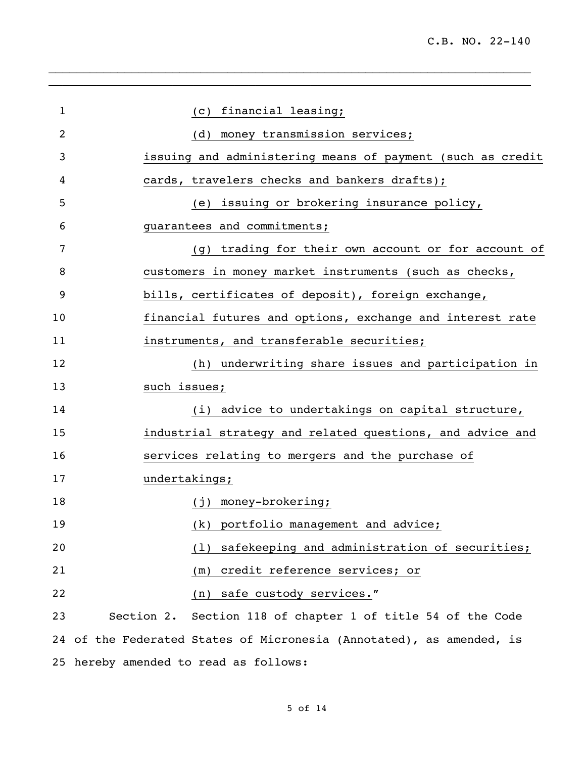| 1  | (c) financial leasing;                                               |  |  |  |  |  |
|----|----------------------------------------------------------------------|--|--|--|--|--|
| 2  | (d) money transmission services;                                     |  |  |  |  |  |
| 3  | issuing and administering means of payment (such as credit           |  |  |  |  |  |
| 4  | cards, travelers checks and bankers drafts);                         |  |  |  |  |  |
| 5  | (e) issuing or brokering insurance policy,                           |  |  |  |  |  |
| 6  | guarantees and commitments;                                          |  |  |  |  |  |
| 7  | (g) trading for their own account or for account of                  |  |  |  |  |  |
| 8  | customers in money market instruments (such as checks,               |  |  |  |  |  |
| 9  | bills, certificates of deposit), foreign exchange,                   |  |  |  |  |  |
| 10 | financial futures and options, exchange and interest rate            |  |  |  |  |  |
| 11 | instruments, and transferable securities;                            |  |  |  |  |  |
| 12 | (h) underwriting share issues and participation in                   |  |  |  |  |  |
| 13 | such issues;                                                         |  |  |  |  |  |
| 14 | (i) advice to undertakings on capital structure,                     |  |  |  |  |  |
| 15 | industrial strategy and related questions, and advice and            |  |  |  |  |  |
| 16 | services relating to mergers and the purchase of                     |  |  |  |  |  |
| 17 | undertakings;                                                        |  |  |  |  |  |
| 18 | (j) money-brokering;                                                 |  |  |  |  |  |
| 19 | portfolio management and advice;<br>(k)                              |  |  |  |  |  |
| 20 | safekeeping and administration of securities;<br>(1)                 |  |  |  |  |  |
| 21 | credit reference services; or<br>(m)                                 |  |  |  |  |  |
| 22 | safe custody services."<br>(n)                                       |  |  |  |  |  |
| 23 | Section 2. Section 118 of chapter 1 of title 54 of the Code          |  |  |  |  |  |
|    | 24 of the Federated States of Micronesia (Annotated), as amended, is |  |  |  |  |  |
|    | 25 hereby amended to read as follows:                                |  |  |  |  |  |

\_\_\_\_\_\_\_\_\_\_\_\_\_\_\_\_\_\_\_\_\_\_\_\_\_\_\_\_\_\_\_\_\_\_\_\_\_\_\_\_\_\_\_\_\_\_\_\_\_\_\_\_\_\_\_\_\_\_\_\_\_\_\_\_\_\_\_\_\_\_

\_\_\_\_\_\_\_\_\_\_\_\_\_\_\_\_\_\_\_\_\_\_\_\_\_\_\_\_\_\_\_\_\_\_\_\_\_\_\_\_\_\_\_\_\_\_\_\_\_\_\_\_\_\_\_\_\_\_\_\_\_\_\_\_\_\_\_\_\_\_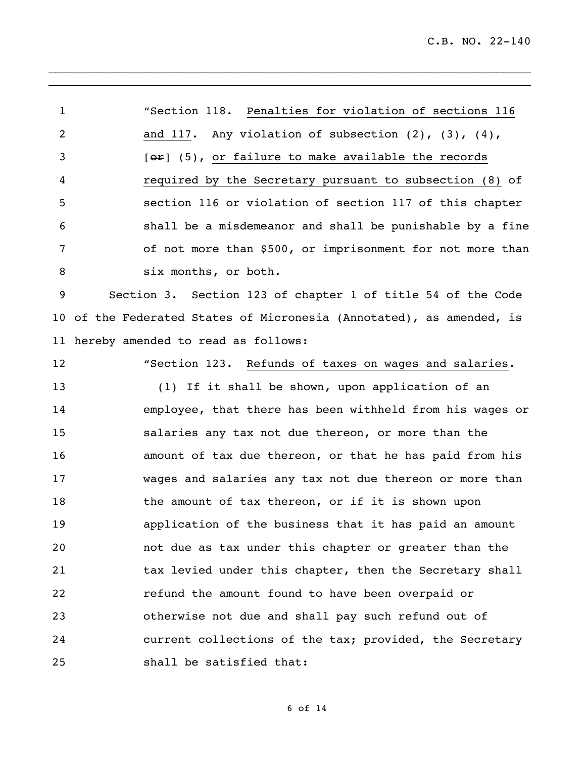"Section 118. Penalties for violation of sections 116 and 117. Any violation of subsection (2), (3), (4), [ $\Theta$ °F] (5), or failure to make available the records required by the Secretary pursuant to subsection (8) of section 116 or violation of section 117 of this chapter shall be a misdemeanor and shall be punishable by a fine of not more than \$500, or imprisonment for not more than 8 six months, or both.

\_\_\_\_\_\_\_\_\_\_\_\_\_\_\_\_\_\_\_\_\_\_\_\_\_\_\_\_\_\_\_\_\_\_\_\_\_\_\_\_\_\_\_\_\_\_\_\_\_\_\_\_\_\_\_\_\_\_\_\_\_\_\_\_\_\_\_\_\_\_ \_\_\_\_\_\_\_\_\_\_\_\_\_\_\_\_\_\_\_\_\_\_\_\_\_\_\_\_\_\_\_\_\_\_\_\_\_\_\_\_\_\_\_\_\_\_\_\_\_\_\_\_\_\_\_\_\_\_\_\_\_\_\_\_\_\_\_\_\_\_

 Section 3. Section 123 of chapter 1 of title 54 of the Code of the Federated States of Micronesia (Annotated), as amended, is hereby amended to read as follows:

"Section 123. Refunds of taxes on wages and salaries.

 (1) If it shall be shown, upon application of an employee, that there has been withheld from his wages or salaries any tax not due thereon, or more than the amount of tax due thereon, or that he has paid from his wages and salaries any tax not due thereon or more than 18 the amount of tax thereon, or if it is shown upon application of the business that it has paid an amount not due as tax under this chapter or greater than the 21 tax levied under this chapter, then the Secretary shall refund the amount found to have been overpaid or otherwise not due and shall pay such refund out of current collections of the tax; provided, the Secretary shall be satisfied that: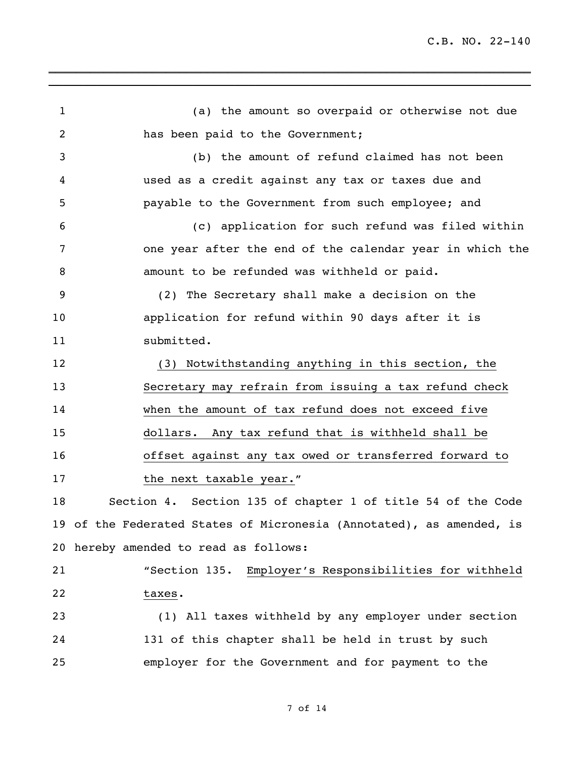(a) the amount so overpaid or otherwise not due has been paid to the Government; (b) the amount of refund claimed has not been used as a credit against any tax or taxes due and payable to the Government from such employee; and (c) application for such refund was filed within one year after the end of the calendar year in which the amount to be refunded was withheld or paid. (2) The Secretary shall make a decision on the application for refund within 90 days after it is 11 submitted. (3) Notwithstanding anything in this section, the Secretary may refrain from issuing a tax refund check when the amount of tax refund does not exceed five dollars. Any tax refund that is withheld shall be offset against any tax owed or transferred forward to 17 the next taxable year." Section 4. Section 135 of chapter 1 of title 54 of the Code of the Federated States of Micronesia (Annotated), as amended, is hereby amended to read as follows: "Section 135. Employer's Responsibilities for withheld taxes. (1) All taxes withheld by any employer under section 131 of this chapter shall be held in trust by such employer for the Government and for payment to the

\_\_\_\_\_\_\_\_\_\_\_\_\_\_\_\_\_\_\_\_\_\_\_\_\_\_\_\_\_\_\_\_\_\_\_\_\_\_\_\_\_\_\_\_\_\_\_\_\_\_\_\_\_\_\_\_\_\_\_\_\_\_\_\_\_\_\_\_\_\_ \_\_\_\_\_\_\_\_\_\_\_\_\_\_\_\_\_\_\_\_\_\_\_\_\_\_\_\_\_\_\_\_\_\_\_\_\_\_\_\_\_\_\_\_\_\_\_\_\_\_\_\_\_\_\_\_\_\_\_\_\_\_\_\_\_\_\_\_\_\_

## of 14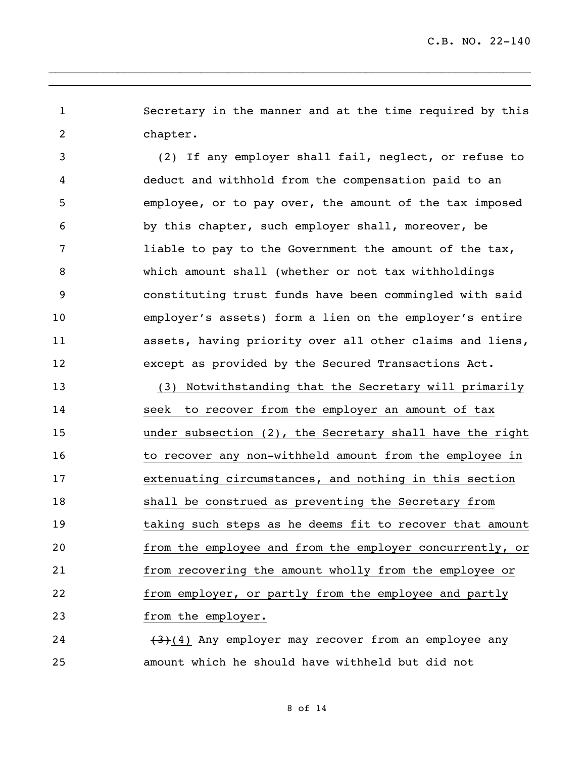Secretary in the manner and at the time required by this chapter.

\_\_\_\_\_\_\_\_\_\_\_\_\_\_\_\_\_\_\_\_\_\_\_\_\_\_\_\_\_\_\_\_\_\_\_\_\_\_\_\_\_\_\_\_\_\_\_\_\_\_\_\_\_\_\_\_\_\_\_\_\_\_\_\_\_\_\_\_\_\_ \_\_\_\_\_\_\_\_\_\_\_\_\_\_\_\_\_\_\_\_\_\_\_\_\_\_\_\_\_\_\_\_\_\_\_\_\_\_\_\_\_\_\_\_\_\_\_\_\_\_\_\_\_\_\_\_\_\_\_\_\_\_\_\_\_\_\_\_\_\_

 (2) If any employer shall fail, neglect, or refuse to deduct and withhold from the compensation paid to an employee, or to pay over, the amount of the tax imposed by this chapter, such employer shall, moreover, be liable to pay to the Government the amount of the tax, which amount shall (whether or not tax withholdings constituting trust funds have been commingled with said employer's assets) form a lien on the employer's entire assets, having priority over all other claims and liens, except as provided by the Secured Transactions Act.

 (3) Notwithstanding that the Secretary will primarily seek to recover from the employer an amount of tax under subsection (2), the Secretary shall have the right 16 to recover any non-withheld amount from the employee in extenuating circumstances, and nothing in this section shall be construed as preventing the Secretary from taking such steps as he deems fit to recover that amount from the employee and from the employer concurrently, or from recovering the amount wholly from the employee or from employer, or partly from the employee and partly from the employer.

24 (3)(4) Any employer may recover from an employee any amount which he should have withheld but did not

of 14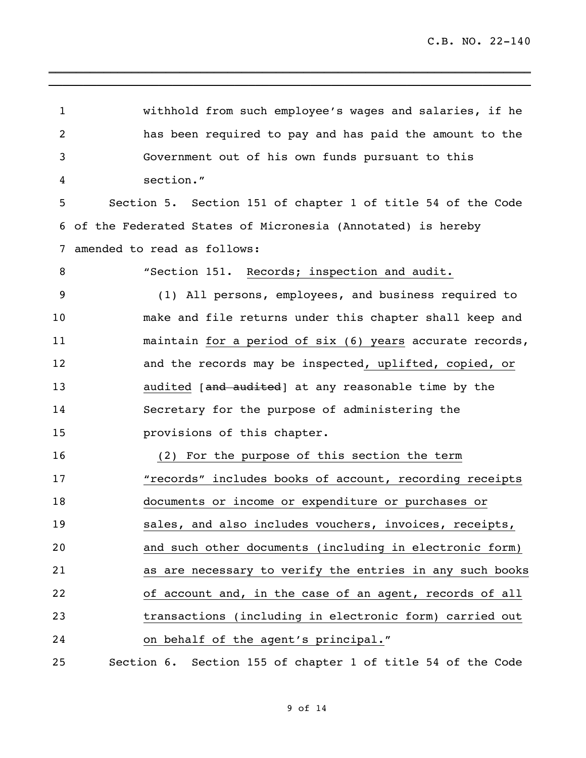withhold from such employee's wages and salaries, if he has been required to pay and has paid the amount to the Government out of his own funds pursuant to this section." Section 5. Section 151 of chapter 1 of title 54 of the Code of the Federated States of Micronesia (Annotated) is hereby amended to read as follows: "Section 151. Records; inspection and audit. (1) All persons, employees, and business required to make and file returns under this chapter shall keep and maintain for a period of six (6) years accurate records, and the records may be inspected, uplifted, copied, or 13 audited [and audited] at any reasonable time by the Secretary for the purpose of administering the provisions of this chapter. (2) For the purpose of this section the term **"**records" includes books of account, recording receipts documents or income or expenditure or purchases or sales, and also includes vouchers, invoices, receipts, and such other documents (including in electronic form) as are necessary to verify the entries in any such books of account and, in the case of an agent, records of all transactions (including in electronic form) carried out on behalf of the agent's principal." Section 6. Section 155 of chapter 1 of title 54 of the Code

\_\_\_\_\_\_\_\_\_\_\_\_\_\_\_\_\_\_\_\_\_\_\_\_\_\_\_\_\_\_\_\_\_\_\_\_\_\_\_\_\_\_\_\_\_\_\_\_\_\_\_\_\_\_\_\_\_\_\_\_\_\_\_\_\_\_\_\_\_\_ \_\_\_\_\_\_\_\_\_\_\_\_\_\_\_\_\_\_\_\_\_\_\_\_\_\_\_\_\_\_\_\_\_\_\_\_\_\_\_\_\_\_\_\_\_\_\_\_\_\_\_\_\_\_\_\_\_\_\_\_\_\_\_\_\_\_\_\_\_\_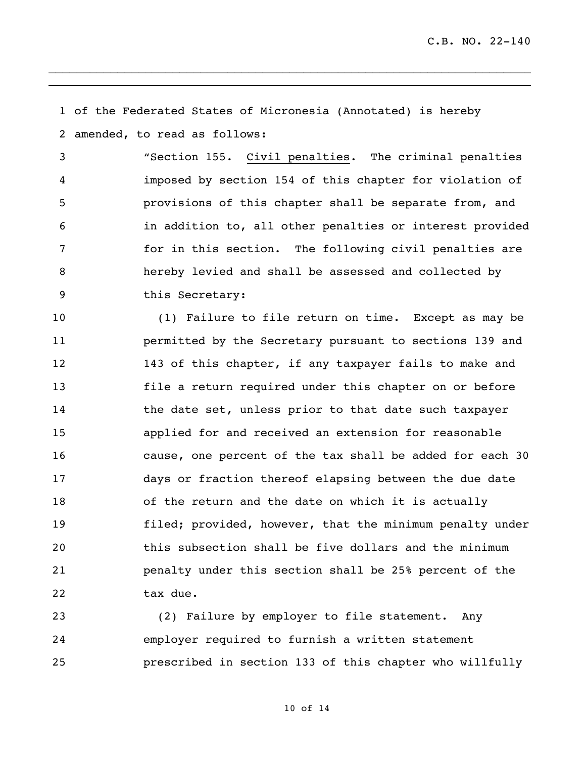of the Federated States of Micronesia (Annotated) is hereby amended, to read as follows:

\_\_\_\_\_\_\_\_\_\_\_\_\_\_\_\_\_\_\_\_\_\_\_\_\_\_\_\_\_\_\_\_\_\_\_\_\_\_\_\_\_\_\_\_\_\_\_\_\_\_\_\_\_\_\_\_\_\_\_\_\_\_\_\_\_\_\_\_\_\_ \_\_\_\_\_\_\_\_\_\_\_\_\_\_\_\_\_\_\_\_\_\_\_\_\_\_\_\_\_\_\_\_\_\_\_\_\_\_\_\_\_\_\_\_\_\_\_\_\_\_\_\_\_\_\_\_\_\_\_\_\_\_\_\_\_\_\_\_\_\_

 "Section 155. Civil penalties. The criminal penalties imposed by section 154 of this chapter for violation of provisions of this chapter shall be separate from, and in addition to, all other penalties or interest provided for in this section. The following civil penalties are hereby levied and shall be assessed and collected by this Secretary:

 (1) Failure to file return on time. Except as may be permitted by the Secretary pursuant to sections 139 and 143 of this chapter, if any taxpayer fails to make and file a return required under this chapter on or before 14 the date set, unless prior to that date such taxpayer applied for and received an extension for reasonable cause, one percent of the tax shall be added for each 30 days or fraction thereof elapsing between the due date of the return and the date on which it is actually filed; provided, however, that the minimum penalty under this subsection shall be five dollars and the minimum penalty under this section shall be 25% percent of the 22 tax due.

 (2) Failure by employer to file statement. Any employer required to furnish a written statement prescribed in section 133 of this chapter who willfully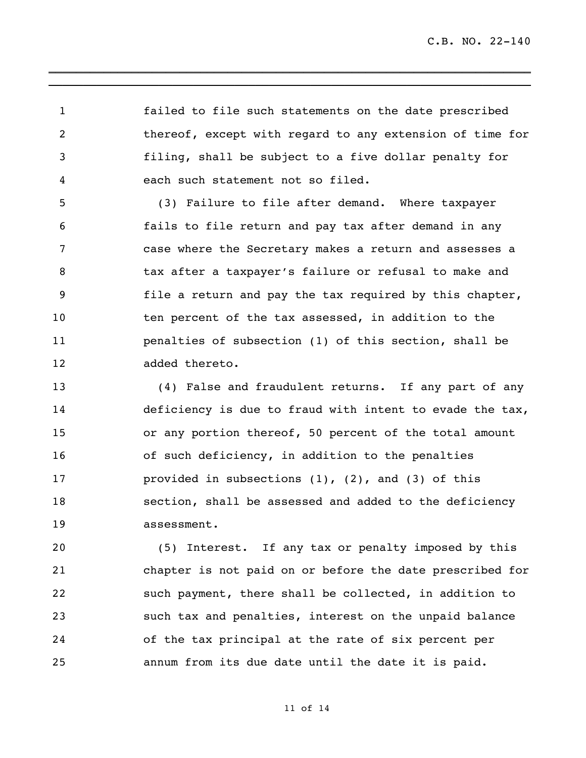failed to file such statements on the date prescribed thereof, except with regard to any extension of time for filing, shall be subject to a five dollar penalty for each such statement not so filed.

\_\_\_\_\_\_\_\_\_\_\_\_\_\_\_\_\_\_\_\_\_\_\_\_\_\_\_\_\_\_\_\_\_\_\_\_\_\_\_\_\_\_\_\_\_\_\_\_\_\_\_\_\_\_\_\_\_\_\_\_\_\_\_\_\_\_\_\_\_\_ \_\_\_\_\_\_\_\_\_\_\_\_\_\_\_\_\_\_\_\_\_\_\_\_\_\_\_\_\_\_\_\_\_\_\_\_\_\_\_\_\_\_\_\_\_\_\_\_\_\_\_\_\_\_\_\_\_\_\_\_\_\_\_\_\_\_\_\_\_\_

 (3) Failure to file after demand. Where taxpayer fails to file return and pay tax after demand in any case where the Secretary makes a return and assesses a 8 tax after a taxpayer's failure or refusal to make and file a return and pay the tax required by this chapter, ten percent of the tax assessed, in addition to the penalties of subsection (1) of this section, shall be added thereto.

 (4) False and fraudulent returns. If any part of any deficiency is due to fraud with intent to evade the tax, or any portion thereof, 50 percent of the total amount of such deficiency, in addition to the penalties provided in subsections (1), (2), and (3) of this section, shall be assessed and added to the deficiency assessment.

 (5) Interest. If any tax or penalty imposed by this chapter is not paid on or before the date prescribed for such payment, there shall be collected, in addition to such tax and penalties, interest on the unpaid balance of the tax principal at the rate of six percent per annum from its due date until the date it is paid.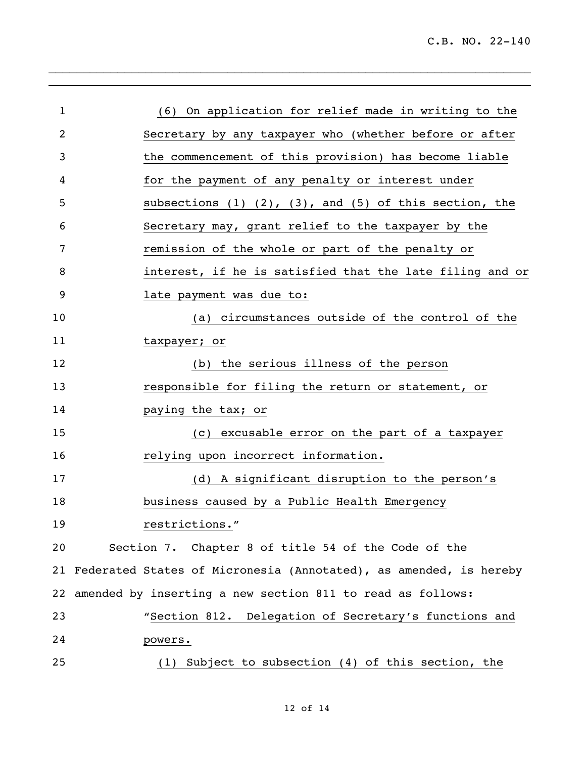| $\mathbf{1}$ |                                                                      |  |  |  |  |  |  |
|--------------|----------------------------------------------------------------------|--|--|--|--|--|--|
|              | (6) On application for relief made in writing to the                 |  |  |  |  |  |  |
| 2            | Secretary by any taxpayer who (whether before or after               |  |  |  |  |  |  |
| 3            | the commencement of this provision) has become liable                |  |  |  |  |  |  |
| 4            | for the payment of any penalty or interest under                     |  |  |  |  |  |  |
| 5            | subsections $(1)$ $(2)$ , $(3)$ , and $(5)$ of this section, the     |  |  |  |  |  |  |
| 6            | Secretary may, grant relief to the taxpayer by the                   |  |  |  |  |  |  |
| 7            | remission of the whole or part of the penalty or                     |  |  |  |  |  |  |
| 8            | interest, if he is satisfied that the late filing and or             |  |  |  |  |  |  |
| 9            | late payment was due to:                                             |  |  |  |  |  |  |
| 10           | (a) circumstances outside of the control of the                      |  |  |  |  |  |  |
| 11           | taxpayer; or                                                         |  |  |  |  |  |  |
| 12           | (b) the serious illness of the person                                |  |  |  |  |  |  |
| 13           | responsible for filing the return or statement, or                   |  |  |  |  |  |  |
| 14           | paying the tax; or                                                   |  |  |  |  |  |  |
| 15           | (c) excusable error on the part of a taxpayer                        |  |  |  |  |  |  |
| 16           | relying upon incorrect information.                                  |  |  |  |  |  |  |
| 17           | (d) A significant disruption to the person's                         |  |  |  |  |  |  |
| 18           | business caused by a Public Health Emergency                         |  |  |  |  |  |  |
| 19           | restrictions."                                                       |  |  |  |  |  |  |
| 20           | Section 7. Chapter 8 of title 54 of the Code of the                  |  |  |  |  |  |  |
|              | 21 Federated States of Micronesia (Annotated), as amended, is hereby |  |  |  |  |  |  |
|              | 22 amended by inserting a new section 811 to read as follows:        |  |  |  |  |  |  |
| 23           | "Section 812. Delegation of Secretary's functions and                |  |  |  |  |  |  |
| 24           | powers.                                                              |  |  |  |  |  |  |
| 25           | $(1)$ Subject to subsection $(4)$ of this section, the               |  |  |  |  |  |  |

 $\mathcal{L}_\text{max}$  and  $\mathcal{L}_\text{max}$  and  $\mathcal{L}_\text{max}$  and  $\mathcal{L}_\text{max}$  and  $\mathcal{L}_\text{max}$  $\_$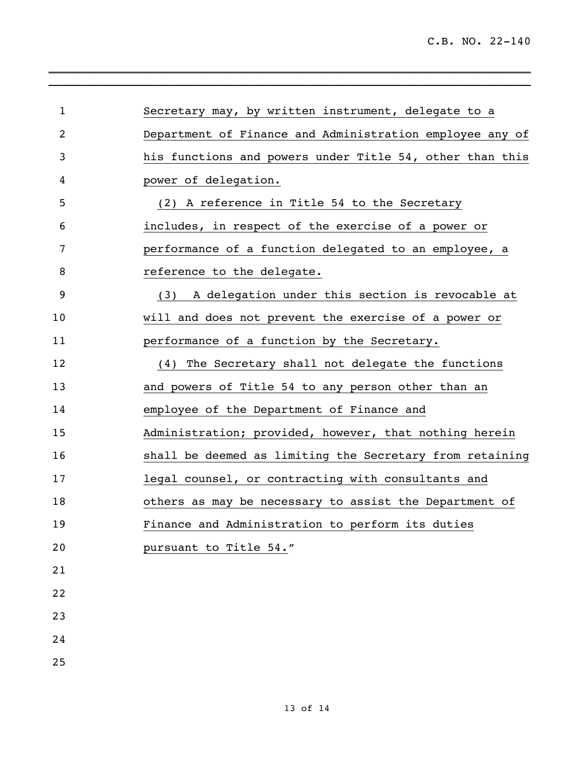| $\mathbf{1}$ | Secretary may, by written instrument, delegate to a      |
|--------------|----------------------------------------------------------|
| 2            | Department of Finance and Administration employee any of |
| 3            | his functions and powers under Title 54, other than this |
| 4            | power of delegation.                                     |
| 5            | A reference in Title 54 to the Secretary<br>(2)          |
| 6            | includes, in respect of the exercise of a power or       |
| 7            | performance of a function delegated to an employee, a    |
| 8            | reference to the delegate.                               |
| 9            | A delegation under this section is revocable at<br>(3)   |
| 10           | will and does not prevent the exercise of a power or     |
| 11           | performance of a function by the Secretary.              |
| 12           | The Secretary shall not delegate the functions<br>(4)    |
| 13           | and powers of Title 54 to any person other than an       |
| 14           | employee of the Department of Finance and                |
| 15           | Administration; provided, however, that nothing herein   |
| 16           | shall be deemed as limiting the Secretary from retaining |
| 17           | legal counsel, or contracting with consultants and       |
| 18           | others as may be necessary to assist the Department of   |
| 19           | Finance and Administration to perform its duties         |
| 20           | pursuant to Title 54."                                   |
| 21           |                                                          |
| 22           |                                                          |
| 23           |                                                          |
| 24           |                                                          |
| 25           |                                                          |
|              |                                                          |

 $\_$  $\mathcal{L}_\text{max}$  , and the set of the set of the set of the set of the set of the set of the set of the set of the set of